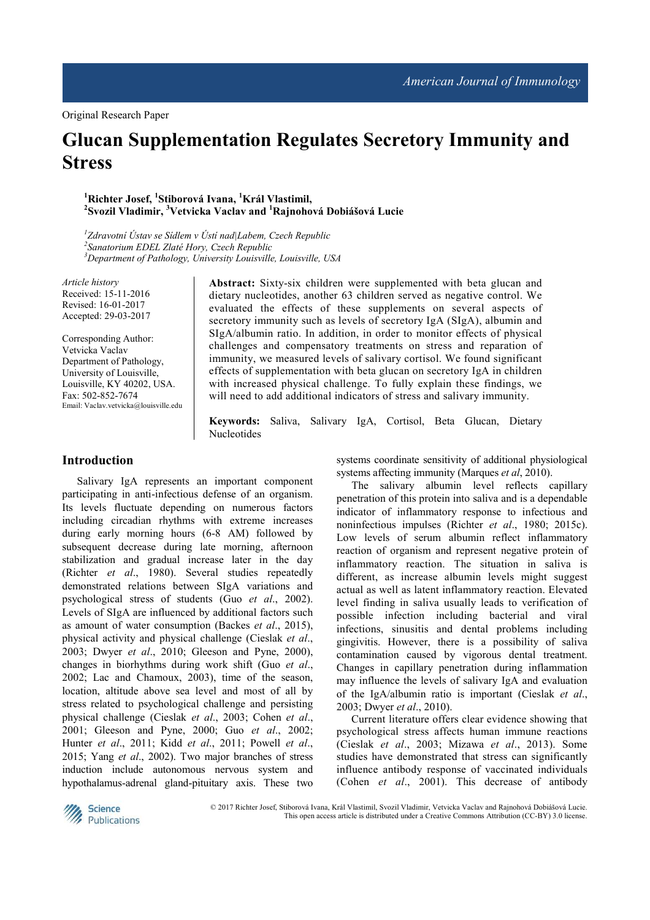# **Glucan Supplementation Regulates Secretory Immunity and Stress**

**<sup>1</sup>Richter Josef, <sup>1</sup> Stiborová Ivana, <sup>1</sup>Král Vlastimil, 2 Svozil Vladimir, <sup>3</sup>Vetvicka Vaclav and <sup>1</sup>Rajnohová Dobiášová Lucie**

*1 Zdravotní Ústav se Sídlem v Ústí nad|Labem, Czech Republic 2 Sanatorium EDEL Zlaté Hory, Czech Republic <sup>3</sup>Department of Pathology, University Louisville, Louisville, USA* 

*Article history*  Received: 15-11-2016 Revised: 16-01-2017 Accepted: 29-03-2017

Corresponding Author: Vetvicka Vaclav Department of Pathology, University of Louisville, Louisville, KY 40202, USA. Fax: 502-852-7674 Email: Vaclav.vetvicka@louisville.edu **Abstract:** Sixty-six children were supplemented with beta glucan and dietary nucleotides, another 63 children served as negative control. We evaluated the effects of these supplements on several aspects of secretory immunity such as levels of secretory IgA (SIgA), albumin and SIgA/albumin ratio. In addition, in order to monitor effects of physical challenges and compensatory treatments on stress and reparation of immunity, we measured levels of salivary cortisol. We found significant effects of supplementation with beta glucan on secretory IgA in children with increased physical challenge. To fully explain these findings, we will need to add additional indicators of stress and salivary immunity.

**Keywords:** Saliva, Salivary IgA, Cortisol, Beta Glucan, Dietary Nucleotides

#### **Introduction**

Salivary IgA represents an important component participating in anti-infectious defense of an organism. Its levels fluctuate depending on numerous factors including circadian rhythms with extreme increases during early morning hours (6-8 AM) followed by subsequent decrease during late morning, afternoon stabilization and gradual increase later in the day (Richter *et al*., 1980). Several studies repeatedly demonstrated relations between SIgA variations and psychological stress of students (Guo *et al*., 2002). Levels of SIgA are influenced by additional factors such as amount of water consumption (Backes *et al*., 2015), physical activity and physical challenge (Cieslak *et al*., 2003; Dwyer *et al*., 2010; Gleeson and Pyne, 2000), changes in biorhythms during work shift (Guo *et al*., 2002; Lac and Chamoux, 2003), time of the season, location, altitude above sea level and most of all by stress related to psychological challenge and persisting physical challenge (Cieslak *et al*., 2003; Cohen *et al*., 2001; Gleeson and Pyne, 2000; Guo *et al*., 2002; Hunter *et al*., 2011; Kidd *et al*., 2011; Powell *et al*., 2015; Yang *et al*., 2002). Two major branches of stress induction include autonomous nervous system and hypothalamus-adrenal gland-pituitary axis. These two

systems coordinate sensitivity of additional physiological systems affecting immunity (Marques *et al*, 2010).

The salivary albumin level reflects capillary penetration of this protein into saliva and is a dependable indicator of inflammatory response to infectious and noninfectious impulses (Richter *et al*., 1980; 2015c). Low levels of serum albumin reflect inflammatory reaction of organism and represent negative protein of inflammatory reaction. The situation in saliva is different, as increase albumin levels might suggest actual as well as latent inflammatory reaction. Elevated level finding in saliva usually leads to verification of possible infection including bacterial and viral infections, sinusitis and dental problems including gingivitis. However, there is a possibility of saliva contamination caused by vigorous dental treatment. Changes in capillary penetration during inflammation may influence the levels of salivary IgA and evaluation of the IgA/albumin ratio is important (Cieslak *et al*., 2003; Dwyer *et al*., 2010).

Current literature offers clear evidence showing that psychological stress affects human immune reactions (Cieslak *et al*., 2003; Mizawa *et al*., 2013). Some studies have demonstrated that stress can significantly influence antibody response of vaccinated individuals (Cohen *et al*., 2001). This decrease of antibody



© 2017 Richter Josef, Stiborová Ivana, Král Vlastimil, Svozil Vladimir, Vetvicka Vaclav and Rajnohová Dobiášová Lucie. This open access article is distributed under a Creative Commons Attribution (CC-BY) 3.0 license.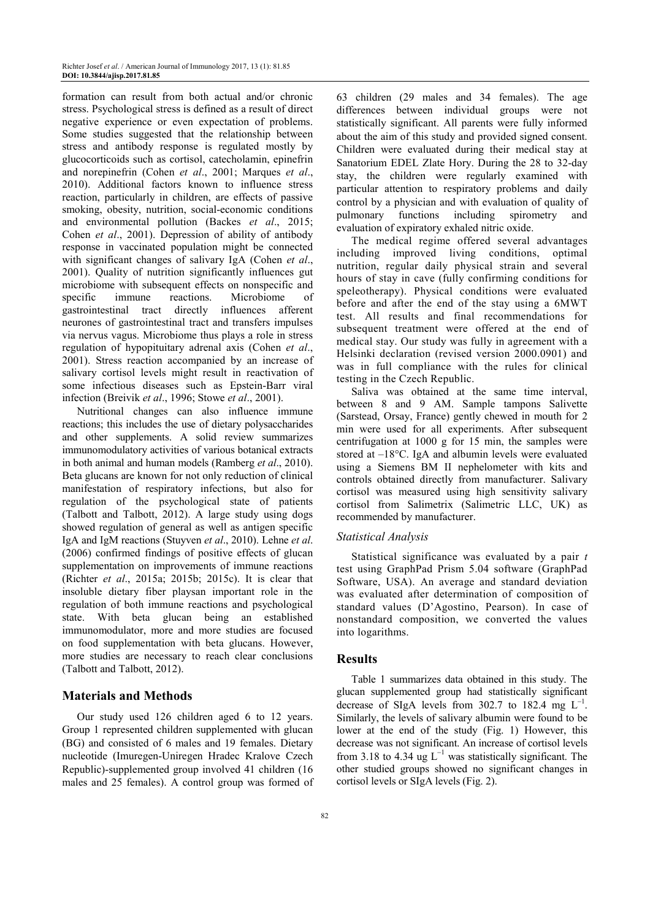formation can result from both actual and/or chronic stress. Psychological stress is defined as a result of direct negative experience or even expectation of problems. Some studies suggested that the relationship between stress and antibody response is regulated mostly by glucocorticoids such as cortisol, catecholamin, epinefrin and norepinefrin (Cohen *et al*., 2001; Marques *et al*., 2010). Additional factors known to influence stress reaction, particularly in children, are effects of passive smoking, obesity, nutrition, social-economic conditions and environmental pollution (Backes *et al*., 2015; Cohen *et al*., 2001). Depression of ability of antibody response in vaccinated population might be connected with significant changes of salivary IgA (Cohen *et al*., 2001). Quality of nutrition significantly influences gut microbiome with subsequent effects on nonspecific and specific immune reactions. Microbiome of gastrointestinal tract directly influences afferent neurones of gastrointestinal tract and transfers impulses via nervus vagus. Microbiome thus plays a role in stress regulation of hypopituitary adrenal axis (Cohen *et al*., 2001). Stress reaction accompanied by an increase of salivary cortisol levels might result in reactivation of some infectious diseases such as Epstein-Barr viral infection (Breivik *et al*., 1996; Stowe *et al*., 2001).

Nutritional changes can also influence immune reactions; this includes the use of dietary polysaccharides and other supplements. A solid review summarizes immunomodulatory activities of various botanical extracts in both animal and human models (Ramberg *et al*., 2010). Beta glucans are known for not only reduction of clinical manifestation of respiratory infections, but also for regulation of the psychological state of patients (Talbott and Talbott, 2012). A large study using dogs showed regulation of general as well as antigen specific IgA and IgM reactions (Stuyven *et al*., 2010). Lehne *et al*. (2006) confirmed findings of positive effects of glucan supplementation on improvements of immune reactions (Richter *et al*., 2015a; 2015b; 2015c). It is clear that insoluble dietary fiber playsan important role in the regulation of both immune reactions and psychological state. With beta glucan being an established immunomodulator, more and more studies are focused on food supplementation with beta glucans. However, more studies are necessary to reach clear conclusions (Talbott and Talbott, 2012).

## **Materials and Methods**

Our study used 126 children aged 6 to 12 years. Group 1 represented children supplemented with glucan (BG) and consisted of 6 males and 19 females. Dietary nucleotide (Imuregen-Uniregen Hradec Kralove Czech Republic)-supplemented group involved 41 children (16 males and 25 females). A control group was formed of

63 children (29 males and 34 females). The age differences between individual groups were not statistically significant. All parents were fully informed about the aim of this study and provided signed consent. Children were evaluated during their medical stay at Sanatorium EDEL Zlate Hory. During the 28 to 32-day stay, the children were regularly examined with particular attention to respiratory problems and daily control by a physician and with evaluation of quality of pulmonary functions including spirometry and evaluation of expiratory exhaled nitric oxide.

The medical regime offered several advantages including improved living conditions, optimal nutrition, regular daily physical strain and several hours of stay in cave (fully confirming conditions for speleotherapy). Physical conditions were evaluated before and after the end of the stay using a 6MWT test. All results and final recommendations for subsequent treatment were offered at the end of medical stay. Our study was fully in agreement with a Helsinki declaration (revised version 2000.0901) and was in full compliance with the rules for clinical testing in the Czech Republic.

Saliva was obtained at the same time interval, between 8 and 9 AM. Sample tampons Salivette (Sarstead, Orsay, France) gently chewed in mouth for 2 min were used for all experiments. After subsequent centrifugation at 1000 g for 15 min, the samples were stored at –18°C. IgA and albumin levels were evaluated using a Siemens BM II nephelometer with kits and controls obtained directly from manufacturer. Salivary cortisol was measured using high sensitivity salivary cortisol from Salimetrix (Salimetric LLC, UK) as recommended by manufacturer.

#### *Statistical Analysis*

Statistical significance was evaluated by a pair *t*  test using GraphPad Prism 5.04 software (GraphPad Software, USA). An average and standard deviation was evaluated after determination of composition of standard values (D'Agostino, Pearson). In case of nonstandard composition, we converted the values into logarithms.

#### **Results**

Table 1 summarizes data obtained in this study. The glucan supplemented group had statistically significant decrease of SIgA levels from 302.7 to 182.4 mg  $L^{-1}$ . Similarly, the levels of salivary albumin were found to be lower at the end of the study (Fig. 1) However, this decrease was not significant. An increase of cortisol levels from 3.18 to 4.34 ug  $L^{-1}$  was statistically significant. The other studied groups showed no significant changes in cortisol levels or SIgA levels (Fig. 2).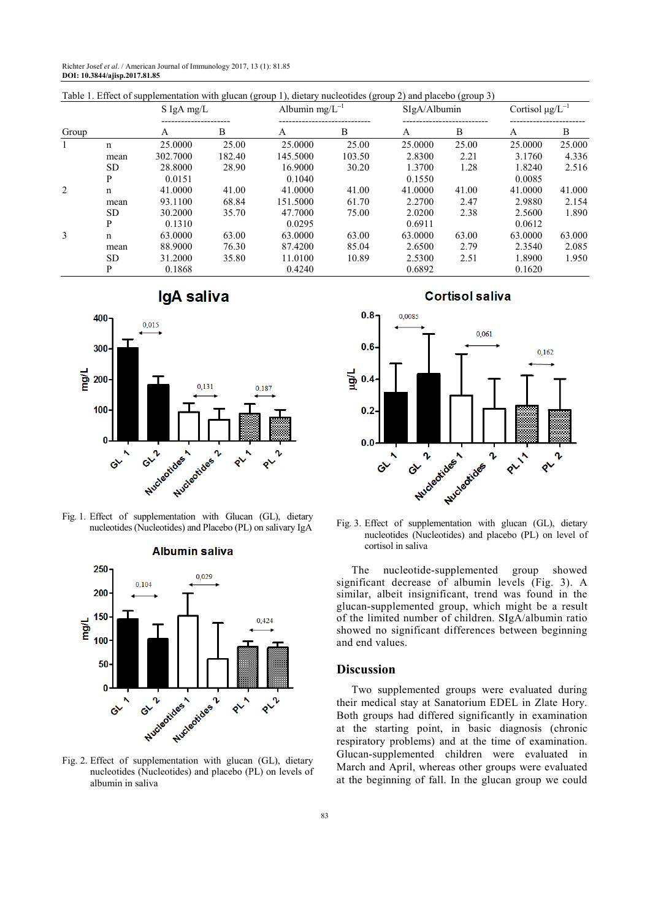Richter Josef *et al*. / American Journal of Immunology 2017, 13 (1): 81.85 **DOI: 10.3844/ajisp.2017.81.85**

|       |             | $S$ IgA mg/L |        | Albumin mg/ $L^{-1}$ |        | SIgA/Albumin |       | Cortisol $\mu g/L^{-1}$ |        |
|-------|-------------|--------------|--------|----------------------|--------|--------------|-------|-------------------------|--------|
| Group |             | A            | B      | A                    | B      | A            | B     | A                       | B      |
|       | $\mathbf n$ | 25,0000      | 25.00  | 25,0000              | 25.00  | 25,0000      | 25.00 | 25,0000                 | 25.000 |
|       | mean        | 302.7000     | 182.40 | 145.5000             | 103.50 | 2.8300       | 2.21  | 3.1760                  | 4.336  |
|       | <b>SD</b>   | 28.8000      | 28.90  | 16.9000              | 30.20  | 1.3700       | 1.28  | 1.8240                  | 2.516  |
|       | P           | 0.0151       |        | 0.1040               |        | 0.1550       |       | 0.0085                  |        |
| 2     | n           | 41.0000      | 41.00  | 41.0000              | 41.00  | 41.0000      | 41.00 | 41.0000                 | 41.000 |
|       | mean        | 93.1100      | 68.84  | 151.5000             | 61.70  | 2.2700       | 2.47  | 2.9880                  | 2.154  |
|       | <b>SD</b>   | 30.2000      | 35.70  | 47.7000              | 75.00  | 2.0200       | 2.38  | 2.5600                  | 1.890  |
|       | P           | 0.1310       |        | 0.0295               |        | 0.6911       |       | 0.0612                  |        |
| 3     | n           | 63.0000      | 63.00  | 63.0000              | 63.00  | 63.0000      | 63.00 | 63.0000                 | 63.000 |
|       | mean        | 88,9000      | 76.30  | 87.4200              | 85.04  | 2.6500       | 2.79  | 2.3540                  | 2.085  |
|       | <b>SD</b>   | 31.2000      | 35.80  | 11.0100              | 10.89  | 2.5300       | 2.51  | 1.8900                  | 1.950  |
|       | P           | 0.1868       |        | 0.4240               |        | 0.6892       |       | 0.1620                  |        |

# IgA saliva



Fig. 1. Effect of supplementation with Glucan (GL), dietary nucleotides (Nucleotides) and Placebo (PL) on salivary IgA

# **Albumin saliva**



Fig. 2. Effect of supplementation with glucan (GL), dietary nucleotides (Nucleotides) and placebo (PL) on levels of albumin in saliva

#### **Cortisol saliva**



Fig. 3. Effect of supplementation with glucan (GL), dietary nucleotides (Nucleotides) and placebo (PL) on level of cortisol in saliva

The nucleotide-supplemented group showed significant decrease of albumin levels (Fig. 3). A similar, albeit insignificant, trend was found in the glucan-supplemented group, which might be a result of the limited number of children. SIgA/albumin ratio showed no significant differences between beginning and end values.

#### **Discussion**

Two supplemented groups were evaluated during their medical stay at Sanatorium EDEL in Zlate Hory. Both groups had differed significantly in examination at the starting point, in basic diagnosis (chronic respiratory problems) and at the time of examination. Glucan-supplemented children were evaluated in March and April, whereas other groups were evaluated at the beginning of fall. In the glucan group we could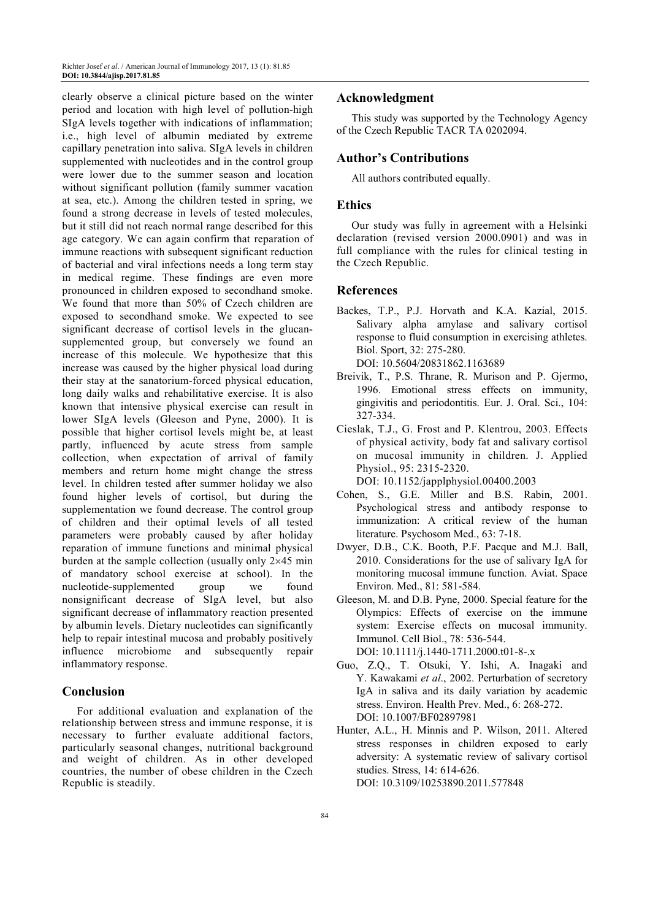clearly observe a clinical picture based on the winter period and location with high level of pollution-high SIgA levels together with indications of inflammation; i.e., high level of albumin mediated by extreme capillary penetration into saliva. SIgA levels in children supplemented with nucleotides and in the control group were lower due to the summer season and location without significant pollution (family summer vacation at sea, etc.). Among the children tested in spring, we found a strong decrease in levels of tested molecules, but it still did not reach normal range described for this age category. We can again confirm that reparation of immune reactions with subsequent significant reduction of bacterial and viral infections needs a long term stay in medical regime. These findings are even more pronounced in children exposed to secondhand smoke. We found that more than 50% of Czech children are exposed to secondhand smoke. We expected to see significant decrease of cortisol levels in the glucansupplemented group, but conversely we found an increase of this molecule. We hypothesize that this increase was caused by the higher physical load during their stay at the sanatorium-forced physical education, long daily walks and rehabilitative exercise. It is also known that intensive physical exercise can result in lower SIgA levels (Gleeson and Pyne, 2000). It is possible that higher cortisol levels might be, at least partly, influenced by acute stress from sample collection, when expectation of arrival of family members and return home might change the stress level. In children tested after summer holiday we also found higher levels of cortisol, but during the supplementation we found decrease. The control group of children and their optimal levels of all tested parameters were probably caused by after holiday reparation of immune functions and minimal physical burden at the sample collection (usually only 2×45 min of mandatory school exercise at school). In the nucleotide-supplemented group we found nonsignificant decrease of SIgA level, but also significant decrease of inflammatory reaction presented by albumin levels. Dietary nucleotides can significantly help to repair intestinal mucosa and probably positively influence microbiome and subsequently repair inflammatory response.

## **Conclusion**

For additional evaluation and explanation of the relationship between stress and immune response, it is necessary to further evaluate additional factors, particularly seasonal changes, nutritional background and weight of children. As in other developed countries, the number of obese children in the Czech Republic is steadily.

#### **Acknowledgment**

This study was supported by the Technology Agency of the Czech Republic TACR TA 0202094.

## **Author's Contributions**

All authors contributed equally.

#### **Ethics**

Our study was fully in agreement with a Helsinki declaration (revised version 2000.0901) and was in full compliance with the rules for clinical testing in the Czech Republic.

#### **References**

- Backes, T.P., P.J. Horvath and K.A. Kazial, 2015. Salivary alpha amylase and salivary cortisol response to fluid consumption in exercising athletes. Biol. Sport, 32: 275-280. DOI: 10.5604/20831862.1163689
- Breivik, T., P.S. Thrane, R. Murison and P. Gjermo, 1996. Emotional stress effects on immunity, gingivitis and periodontitis. Eur. J. Oral. Sci., 104: 327-334.
- Cieslak, T.J., G. Frost and P. Klentrou, 2003. Effects of physical activity, body fat and salivary cortisol on mucosal immunity in children. J. Applied Physiol., 95: 2315-2320.

DOI: 10.1152/japplphysiol.00400.2003

- Cohen, S., G.E. Miller and B.S. Rabin, 2001. Psychological stress and antibody response to immunization: A critical review of the human literature. Psychosom Med., 63: 7-18.
- Dwyer, D.B., C.K. Booth, P.F. Pacque and M.J. Ball, 2010. Considerations for the use of salivary IgA for monitoring mucosal immune function. Aviat. Space Environ. Med., 81: 581-584.
- Gleeson, M. and D.B. Pyne, 2000. Special feature for the Olympics: Effects of exercise on the immune system: Exercise effects on mucosal immunity. Immunol. Cell Biol., 78: 536-544. DOI: 10.1111/j.1440-1711.2000.t01-8-.x
- Guo, Z.Q., T. Otsuki, Y. Ishi, A. Inagaki and Y. Kawakami *et al*., 2002. Perturbation of secretory IgA in saliva and its daily variation by academic stress. Environ. Health Prev. Med., 6: 268-272. DOI: 10.1007/BF02897981
- Hunter, A.L., H. Minnis and P. Wilson, 2011. Altered stress responses in children exposed to early adversity: A systematic review of salivary cortisol studies. Stress, 14: 614-626. DOI: 10.3109/10253890.2011.577848